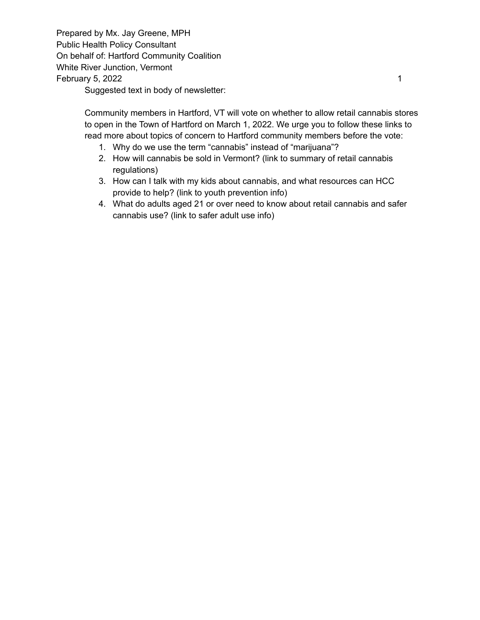Prepared by Mx. Jay Greene, MPH Public Health Policy Consultant On behalf of: Hartford Community Coalition White River Junction, Vermont February 5, 2022 1

Suggested text in body of newsletter:

Community members in Hartford, VT will vote on whether to allow retail cannabis stores to open in the Town of Hartford on March 1, 2022. We urge you to follow these links to read more about topics of concern to Hartford community members before the vote:

- 1. Why do we use the term "cannabis" instead of "marijuana"?
- 2. How will cannabis be sold in Vermont? (link to summary of retail cannabis regulations)
- 3. How can I talk with my kids about cannabis, and what resources can HCC provide to help? (link to youth prevention info)
- 4. What do adults aged 21 or over need to know about retail cannabis and safer cannabis use? (link to safer adult use info)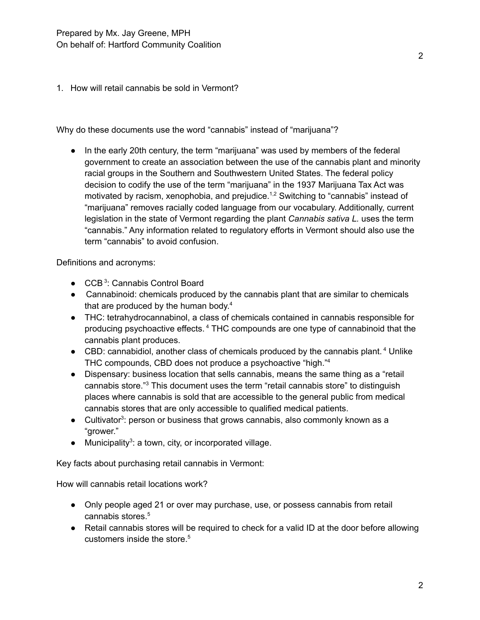1. How will retail cannabis be sold in Vermont?

Why do these documents use the word "cannabis" instead of "marijuana"?

● In the early 20th century, the term "marijuana" was used by members of the federal government to create an association between the use of the cannabis plant and minority racial groups in the Southern and Southwestern United States. The federal policy decision to codify the use of the term "marijuana" in the 1937 Marijuana Tax Act was motivated by racism, xenophobia, and prejudice.<sup>1,2</sup> Switching to "cannabis" instead of "marijuana" removes racially coded language from our vocabulary. Additionally, current legislation in the state of Vermont regarding the plant *Cannabis sativa L.* uses the term "cannabis." Any information related to regulatory efforts in Vermont should also use the term "cannabis" to avoid confusion.

Definitions and acronyms:

- CCB<sup>3</sup>: Cannabis Control Board
- Cannabinoid: chemicals produced by the cannabis plant that are similar to chemicals that are produced by the human body.<sup>4</sup>
- THC: tetrahydrocannabinol, a class of chemicals contained in cannabis responsible for producing psychoactive effects.<sup>4</sup> THC compounds are one type of cannabinoid that the cannabis plant produces.
- CBD: cannabidiol, another class of chemicals produced by the cannabis plant.<sup>4</sup> Unlike THC compounds, CBD does not produce a psychoactive "high." 4
- Dispensary: business location that sells cannabis, means the same thing as a "retail cannabis store." <sup>3</sup> This document uses the term "retail cannabis store" to distinguish places where cannabis is sold that are accessible to the general public from medical cannabis stores that are only accessible to qualified medical patients.
- Cultivator<sup>3</sup>: person or business that grows cannabis, also commonly known as a "grower."
- Municipality<sup>3</sup>: a town, city, or incorporated village.

Key facts about purchasing retail cannabis in Vermont:

How will cannabis retail locations work?

- Only people aged 21 or over may purchase, use, or possess cannabis from retail cannabis stores. 5
- Retail cannabis stores will be required to check for a valid ID at the door before allowing customers inside the store. 5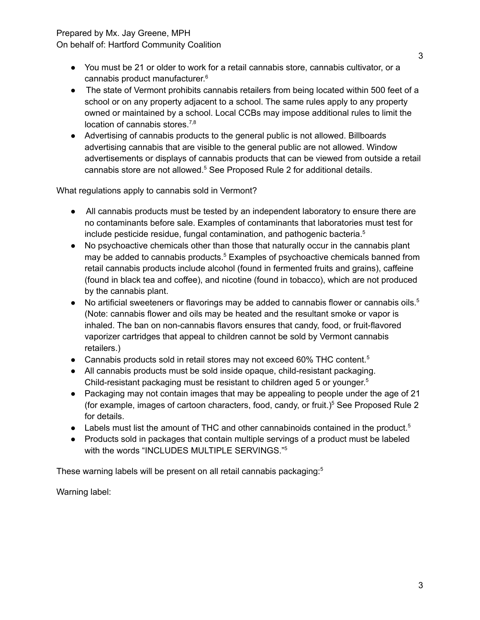## Prepared by Mx. Jay Greene, MPH

On behalf of: Hartford Community Coalition

- You must be 21 or older to work for a retail cannabis store, cannabis cultivator, or a cannabis product manufacturer. 6
- The state of Vermont prohibits cannabis retailers from being located within 500 feet of a school or on any property adjacent to a school. The same rules apply to any property owned or maintained by a school. Local CCBs may impose additional rules to limit the location of cannabis stores.<sup>7,8</sup>
- Advertising of cannabis products to the general public is not allowed. Billboards advertising cannabis that are visible to the general public are not allowed. Window advertisements or displays of cannabis products that can be viewed from outside a retail cannabis store are not allowed. <sup>5</sup> See Proposed Rule 2 for additional details.

What regulations apply to cannabis sold in Vermont?

- All cannabis products must be tested by an independent laboratory to ensure there are no contaminants before sale. Examples of contaminants that laboratories must test for include pesticide residue, fungal contamination, and pathogenic bacteria. 5
- No psychoactive chemicals other than those that naturally occur in the cannabis plant may be added to cannabis products. <sup>5</sup> Examples of psychoactive chemicals banned from retail cannabis products include alcohol (found in fermented fruits and grains), caffeine (found in black tea and coffee), and nicotine (found in tobacco), which are not produced by the cannabis plant.
- No artificial sweeteners or flavorings may be added to cannabis flower or cannabis oils.<sup>5</sup> (Note: cannabis flower and oils may be heated and the resultant smoke or vapor is inhaled. The ban on non-cannabis flavors ensures that candy, food, or fruit-flavored vaporizer cartridges that appeal to children cannot be sold by Vermont cannabis retailers.)
- Cannabis products sold in retail stores may not exceed 60% THC content.<sup>5</sup>
- All cannabis products must be sold inside opaque, child-resistant packaging. Child-resistant packaging must be resistant to children aged 5 or younger. 5
- Packaging may not contain images that may be appealing to people under the age of 21 (for example, images of cartoon characters, food, candy, or fruit.) <sup>5</sup> See Proposed Rule 2 for details.
- Labels must list the amount of THC and other cannabinoids contained in the product.<sup>5</sup>
- Products sold in packages that contain multiple servings of a product must be labeled with the words "INCLUDES MULTIPLE SERVINGS." 5

These warning labels will be present on all retail cannabis packaging: 5

Warning label: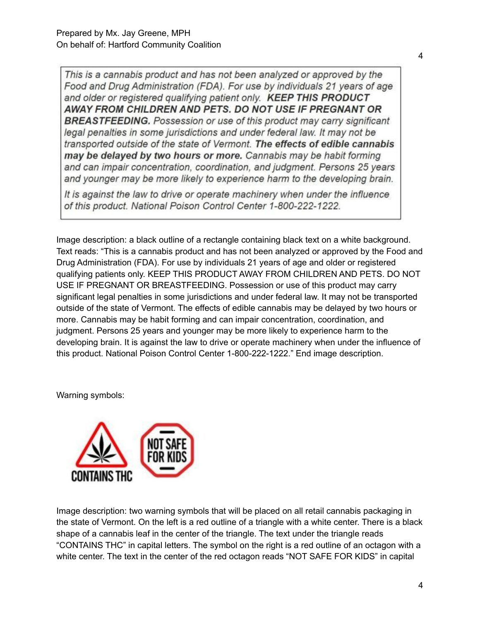This is a cannabis product and has not been analyzed or approved by the Food and Drug Administration (FDA). For use by individuals 21 years of age and older or registered qualifying patient only. KEEP THIS PRODUCT AWAY FROM CHILDREN AND PETS. DO NOT USE IF PREGNANT OR **BREASTFEEDING.** Possession or use of this product may carry significant legal penalties in some jurisdictions and under federal law. It may not be transported outside of the state of Vermont. The effects of edible cannabis may be delayed by two hours or more. Cannabis may be habit forming and can impair concentration, coordination, and judgment. Persons 25 years and younger may be more likely to experience harm to the developing brain.

It is against the law to drive or operate machinery when under the influence of this product. National Poison Control Center 1-800-222-1222.

Image description: a black outline of a rectangle containing black text on a white background. Text reads: "This is a cannabis product and has not been analyzed or approved by the Food and Drug Administration (FDA). For use by individuals 21 years of age and older or registered qualifying patients only. KEEP THIS PRODUCT AWAY FROM CHILDREN AND PETS. DO NOT USE IF PREGNANT OR BREASTFEEDING. Possession or use of this product may carry significant legal penalties in some jurisdictions and under federal law. It may not be transported outside of the state of Vermont. The effects of edible cannabis may be delayed by two hours or more. Cannabis may be habit forming and can impair concentration, coordination, and judgment. Persons 25 years and younger may be more likely to experience harm to the developing brain. It is against the law to drive or operate machinery when under the influence of this product. National Poison Control Center 1-800-222-1222." End image description.

Warning symbols:



Image description: two warning symbols that will be placed on all retail cannabis packaging in the state of Vermont. On the left is a red outline of a triangle with a white center. There is a black shape of a cannabis leaf in the center of the triangle. The text under the triangle reads "CONTAINS THC" in capital letters. The symbol on the right is a red outline of an octagon with a white center. The text in the center of the red octagon reads "NOT SAFE FOR KIDS" in capital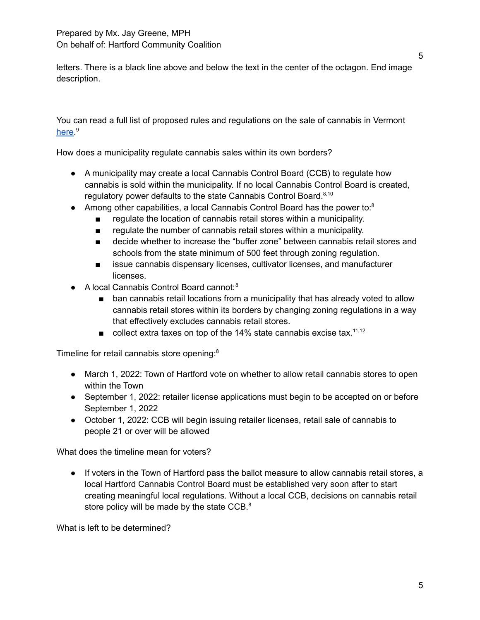letters. There is a black line above and below the text in the center of the octagon. End image description.

You can read a full list of proposed rules and regulations on the sale of cannabis in Vermont [here](https://ccb.vermont.gov/laws-rules-and-regulations).<sup>9</sup>

How does a municipality regulate cannabis sales within its own borders?

- A municipality may create a local Cannabis Control Board (CCB) to regulate how cannabis is sold within the municipality. If no local Cannabis Control Board is created, regulatory power defaults to the state Cannabis Control Board.<sup>8,10</sup>
- Among other capabilities, a local Cannabis Control Board has the power to: $8$ 
	- regulate the location of cannabis retail stores within a municipality.
	- regulate the number of cannabis retail stores within a municipality.
	- decide whether to increase the "buffer zone" between cannabis retail stores and schools from the state minimum of 500 feet through zoning regulation.
	- issue cannabis dispensary licenses, cultivator licenses, and manufacturer licenses.
- A local Cannabis Control Board cannot: 8
	- ban cannabis retail locations from a municipality that has already voted to allow cannabis retail stores within its borders by changing zoning regulations in a way that effectively excludes cannabis retail stores.
	- $\blacksquare$  collect extra taxes on top of the 14% state cannabis excise tax.<sup>11,12</sup>

Timeline for retail cannabis store opening: 8

- March 1, 2022: Town of Hartford vote on whether to allow retail cannabis stores to open within the Town
- September 1, 2022: retailer license applications must begin to be accepted on or before September 1, 2022
- October 1, 2022: CCB will begin issuing retailer licenses, retail sale of cannabis to people 21 or over will be allowed

What does the timeline mean for voters?

● If voters in the Town of Hartford pass the ballot measure to allow cannabis retail stores, a local Hartford Cannabis Control Board must be established very soon after to start creating meaningful local regulations. Without a local CCB, decisions on cannabis retail store policy will be made by the state CCB.<sup>8</sup>

What is left to be determined?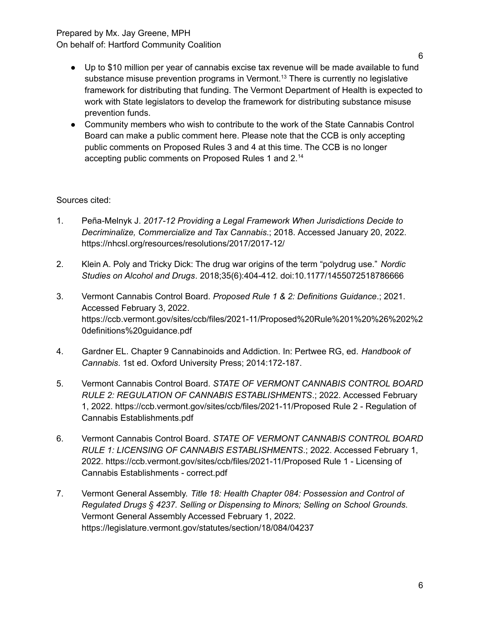### Prepared by Mx. Jay Greene, MPH On behalf of: Hartford Community Coalition

- Up to \$10 million per year of cannabis excise tax revenue will be made available to fund substance misuse prevention programs in Vermont.<sup>13</sup> There is currently no legislative framework for distributing that funding. The Vermont Department of Health is expected to work with State legislators to develop the framework for distributing substance misuse prevention funds.
- Community members who wish to contribute to the work of the State Cannabis Control Board can make a public comment here. Please note that the CCB is only accepting public comments on Proposed Rules 3 and 4 at this time. The CCB is no longer accepting public comments on Proposed Rules 1 and 2.<sup>14</sup>

# Sources cited:

- 1. Peña-Melnyk J. *2017-12 Providing a Legal Framework When Jurisdictions Decide to Decriminalize, Commercialize and Tax Cannabis*.; 2018. Accessed January 20, 2022. https://nhcsl.org/resources/resolutions/2017/2017-12/
- 2. Klein A. Poly and Tricky Dick: The drug war origins of the term "polydrug use." *Nordic Studies on Alcohol and Drugs*. 2018;35(6):404-412. doi:10.1177/1455072518786666
- 3. Vermont Cannabis Control Board. *Proposed Rule 1 & 2: Definitions Guidance*.; 2021. Accessed February 3, 2022. https://ccb.vermont.gov/sites/ccb/files/2021-11/Proposed%20Rule%201%20%26%202%2 0definitions%20guidance.pdf
- 4. Gardner EL. Chapter 9 Cannabinoids and Addiction. In: Pertwee RG, ed. *Handbook of Cannabis*. 1st ed. Oxford University Press; 2014:172-187.
- 5. Vermont Cannabis Control Board. *STATE OF VERMONT CANNABIS CONTROL BOARD RULE 2: REGULATION OF CANNABIS ESTABLISHMENTS*.; 2022. Accessed February 1, 2022. https://ccb.vermont.gov/sites/ccb/files/2021-11/Proposed Rule 2 - Regulation of Cannabis Establishments.pdf
- 6. Vermont Cannabis Control Board. *STATE OF VERMONT CANNABIS CONTROL BOARD RULE 1: LICENSING OF CANNABIS ESTABLISHMENTS*.; 2022. Accessed February 1, 2022. https://ccb.vermont.gov/sites/ccb/files/2021-11/Proposed Rule 1 - Licensing of Cannabis Establishments - correct.pdf
- 7. Vermont General Assembly. *Title 18: Health Chapter 084: Possession and Control of Regulated Drugs § 4237. Selling or Dispensing to Minors; Selling on School Grounds*. Vermont General Assembly Accessed February 1, 2022. https://legislature.vermont.gov/statutes/section/18/084/04237

6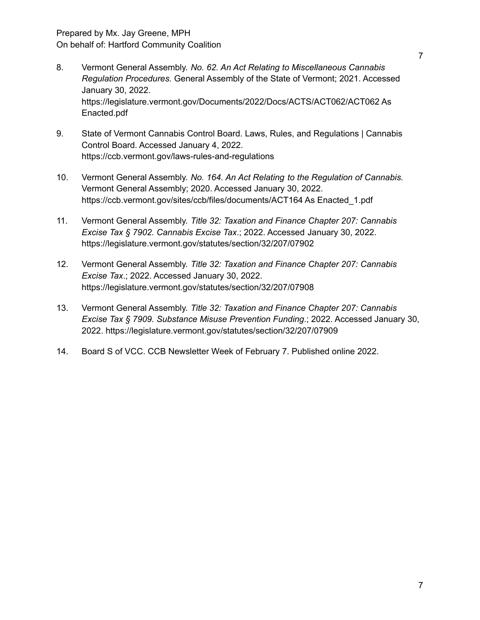- 8. Vermont General Assembly. *No. 62. An Act Relating to Miscellaneous Cannabis Regulation Procedures.* General Assembly of the State of Vermont; 2021. Accessed January 30, 2022. https://legislature.vermont.gov/Documents/2022/Docs/ACTS/ACT062/ACT062 As Enacted.pdf
- 9. State of Vermont Cannabis Control Board. Laws, Rules, and Regulations | Cannabis Control Board. Accessed January 4, 2022. https://ccb.vermont.gov/laws-rules-and-regulations
- 10. Vermont General Assembly. *No. 164. An Act Relating to the Regulation of Cannabis.* Vermont General Assembly; 2020. Accessed January 30, 2022. https://ccb.vermont.gov/sites/ccb/files/documents/ACT164 As Enacted\_1.pdf
- 11. Vermont General Assembly. *Title 32: Taxation and Finance Chapter 207: Cannabis Excise Tax § 7902. Cannabis Excise Tax*.; 2022. Accessed January 30, 2022. https://legislature.vermont.gov/statutes/section/32/207/07902
- 12. Vermont General Assembly. *Title 32: Taxation and Finance Chapter 207: Cannabis Excise Tax*.; 2022. Accessed January 30, 2022. https://legislature.vermont.gov/statutes/section/32/207/07908
- 13. Vermont General Assembly. *Title 32: Taxation and Finance Chapter 207: Cannabis Excise Tax § 7909. Substance Misuse Prevention Funding*.; 2022. Accessed January 30, 2022. https://legislature.vermont.gov/statutes/section/32/207/07909
- 14. Board S of VCC. CCB Newsletter Week of February 7. Published online 2022.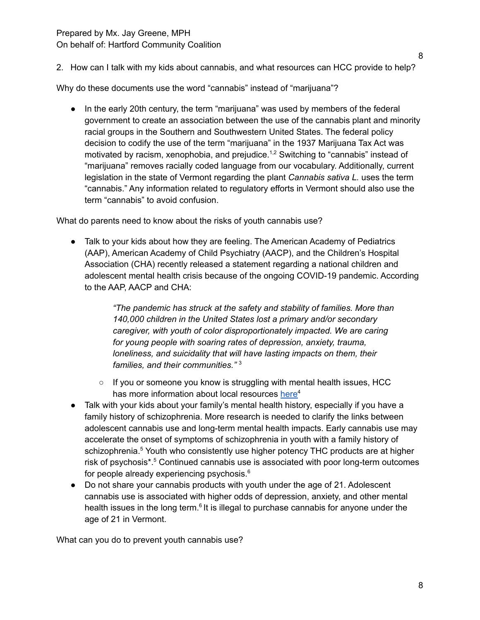### Prepared by Mx. Jay Greene, MPH On behalf of: Hartford Community Coalition

2. How can I talk with my kids about cannabis, and what resources can HCC provide to help?

Why do these documents use the word "cannabis" instead of "marijuana"?

● In the early 20th century, the term "marijuana" was used by members of the federal government to create an association between the use of the cannabis plant and minority racial groups in the Southern and Southwestern United States. The federal policy decision to codify the use of the term "marijuana" in the 1937 Marijuana Tax Act was motivated by racism, xenophobia, and prejudice.<sup>1,2</sup> Switching to "cannabis" instead of "marijuana" removes racially coded language from our vocabulary. Additionally, current legislation in the state of Vermont regarding the plant *Cannabis sativa L.* uses the term "cannabis." Any information related to regulatory efforts in Vermont should also use the term "cannabis" to avoid confusion.

What do parents need to know about the risks of youth cannabis use?

• Talk to your kids about how they are feeling. The American Academy of Pediatrics (AAP), American Academy of Child Psychiatry (AACP), and the Children's Hospital Association (CHA) recently released a statement regarding a national children and adolescent mental health crisis because of the ongoing COVID-19 pandemic. According to the AAP, AACP and CHA:

> *"The pandemic has struck at the safety and stability of families. More than 140,000 children in the United States lost a primary and/or secondary caregiver, with youth of color disproportionately impacted. We are caring for young people with soaring rates of depression, anxiety, trauma, loneliness, and suicidality that will have lasting impacts on them, their families, and their communities."* 3

- $\circ$  If you or someone you know is struggling with mental health issues, HCC has more information about local resources [here](https://www.hccvt.org/suicide-prevention)<sup>4</sup>
- Talk with your kids about your family's mental health history, especially if you have a family history of schizophrenia. More research is needed to clarify the links between adolescent cannabis use and long-term mental health impacts. Early cannabis use may accelerate the onset of symptoms of schizophrenia in youth with a family history of schizophrenia. <sup>5</sup> Youth who consistently use higher potency THC products are at higher risk of psychosis\*. <sup>5</sup> Continued cannabis use is associated with poor long-term outcomes for people already experiencing psychosis. 6
- Do not share your cannabis products with youth under the age of 21. Adolescent cannabis use is associated with higher odds of depression, anxiety, and other mental health issues in the long term.<sup>6</sup> It is illegal to purchase cannabis for anyone under the age of 21 in Vermont.

What can you do to prevent youth cannabis use?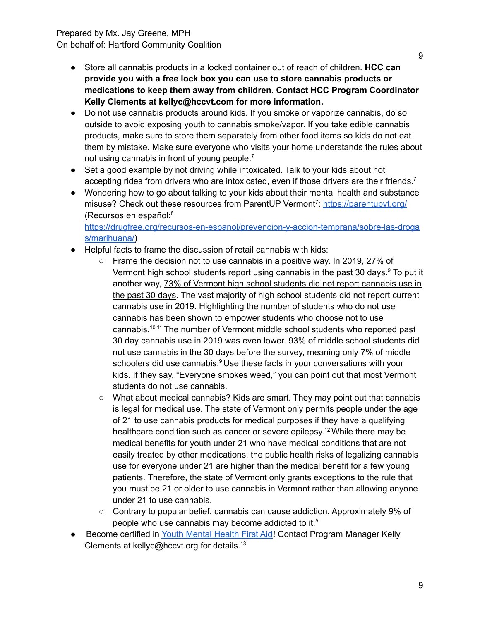### Prepared by Mx. Jay Greene, MPH On behalf of: Hartford Community Coalition

- Store all cannabis products in a locked container out of reach of children. **HCC can provide you with a free lock box you can use to store cannabis products or medications to keep them away from children. Contact HCC Program Coordinator Kelly Clements at kellyc@hccvt.com for more information.**
- Do not use cannabis products around kids. If you smoke or vaporize cannabis, do so outside to avoid exposing youth to cannabis smoke/vapor. If you take edible cannabis products, make sure to store them separately from other food items so kids do not eat them by mistake. Make sure everyone who visits your home understands the rules about not using cannabis in front of young people.<sup>7</sup>
- Set a good example by not driving while intoxicated. Talk to your kids about not accepting rides from drivers who are intoxicated, even if those drivers are their friends.<sup>7</sup>
- Wondering how to go about talking to your kids about their mental health and substance misuse? Check out these resources from ParentUP Vermont<sup>7</sup>: <https://parentupvt.org/> (Recursos en español: 8

[https://drugfree.org/recursos-en-espanol/prevencion-y-accion-temprana/sobre-las-droga](https://drugfree.org/recursos-en-espanol/prevencion-y-accion-temprana/sobre-las-drogas/marihuana/) [s/marihuana/\)](https://drugfree.org/recursos-en-espanol/prevencion-y-accion-temprana/sobre-las-drogas/marihuana/)

- Helpful facts to frame the discussion of retail cannabis with kids:
	- Frame the decision not to use cannabis in a positive way. In 2019, 27% of Vermont high school students report using cannabis in the past 30 days.<sup>9</sup> To put it another way, 73% of Vermont high school students did not report cannabis use in the past 30 days. The vast majority of high school students did not report current cannabis use in 2019. Highlighting the number of students who do not use cannabis has been shown to empower students who choose not to use cannabis. 10,11 The number of Vermont middle school students who reported past 30 day cannabis use in 2019 was even lower. 93% of middle school students did not use cannabis in the 30 days before the survey, meaning only 7% of middle schoolers did use cannabis.<sup>9</sup> Use these facts in your conversations with your kids. If they say, "Everyone smokes weed," you can point out that most Vermont students do not use cannabis.
	- What about medical cannabis? Kids are smart. They may point out that cannabis is legal for medical use. The state of Vermont only permits people under the age of 21 to use cannabis products for medical purposes if they have a qualifying healthcare condition such as cancer or severe epilepsy.<sup>12</sup> While there may be medical benefits for youth under 21 who have medical conditions that are not easily treated by other medications, the public health risks of legalizing cannabis use for everyone under 21 are higher than the medical benefit for a few young patients. Therefore, the state of Vermont only grants exceptions to the rule that you must be 21 or older to use cannabis in Vermont rather than allowing anyone under 21 to use cannabis.
	- Contrary to popular belief, cannabis can cause addiction. Approximately 9% of people who use cannabis may become addicted to it. 5
- Become certified in Youth [Mental](https://www.hccvt.org/programs-youth-mental-health) Health First Aid! Contact Program Manager Kelly Clements at kellyc@hccvt.org for details. 13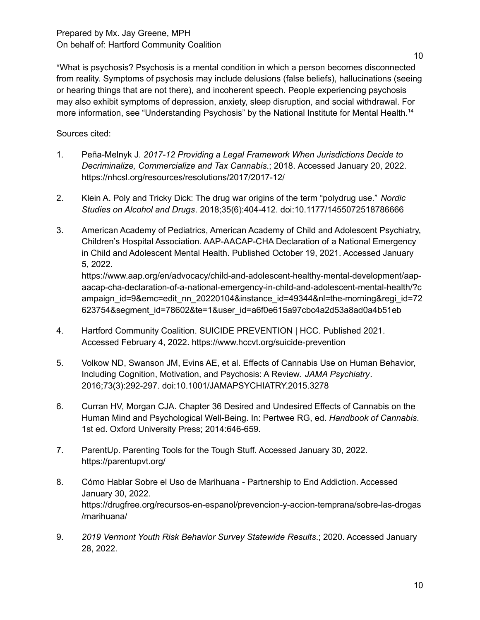\*What is psychosis? Psychosis is a mental condition in which a person becomes disconnected from reality. Symptoms of psychosis may include delusions (false beliefs), hallucinations (seeing or hearing things that are not there), and incoherent speech. People experiencing psychosis may also exhibit symptoms of depression, anxiety, sleep disruption, and social withdrawal. For more information, see "Understanding Psychosis" by the National Institute for Mental Health.<sup>14</sup>

Sources cited:

- 1. Peña-Melnyk J. *2017-12 Providing a Legal Framework When Jurisdictions Decide to Decriminalize, Commercialize and Tax Cannabis*.; 2018. Accessed January 20, 2022. https://nhcsl.org/resources/resolutions/2017/2017-12/
- 2. Klein A. Poly and Tricky Dick: The drug war origins of the term "polydrug use." *Nordic Studies on Alcohol and Drugs*. 2018;35(6):404-412. doi:10.1177/1455072518786666
- 3. American Academy of Pediatrics, American Academy of Child and Adolescent Psychiatry, Children's Hospital Association. AAP-AACAP-CHA Declaration of a National Emergency in Child and Adolescent Mental Health. Published October 19, 2021. Accessed January 5, 2022. https://www.aap.org/en/advocacy/child-and-adolescent-healthy-mental-development/aap-

aacap-cha-declaration-of-a-national-emergency-in-child-and-adolescent-mental-health/?c ampaign id=9&emc=edit\_nn\_20220104&instance\_id=49344&nl=the-morning&regi\_id=72 623754&segment\_id=78602&te=1&user\_id=a6f0e615a97cbc4a2d53a8ad0a4b51eb

- 4. Hartford Community Coalition. SUICIDE PREVENTION | HCC. Published 2021. Accessed February 4, 2022. https://www.hccvt.org/suicide-prevention
- 5. Volkow ND, Swanson JM, Evins AE, et al. Effects of Cannabis Use on Human Behavior, Including Cognition, Motivation, and Psychosis: A Review. *JAMA Psychiatry*. 2016;73(3):292-297. doi:10.1001/JAMAPSYCHIATRY.2015.3278
- 6. Curran HV, Morgan CJA. Chapter 36 Desired and Undesired Effects of Cannabis on the Human Mind and Psychological Well-Being. In: Pertwee RG, ed. *Handbook of Cannabis*. 1st ed. Oxford University Press; 2014:646-659.
- 7. ParentUp. Parenting Tools for the Tough Stuff. Accessed January 30, 2022. https://parentupvt.org/
- 8. Cómo Hablar Sobre el Uso de Marihuana Partnership to End Addiction. Accessed January 30, 2022. https://drugfree.org/recursos-en-espanol/prevencion-y-accion-temprana/sobre-las-drogas /marihuana/
- 9. *2019 Vermont Youth Risk Behavior Survey Statewide Results*.; 2020. Accessed January 28, 2022.

10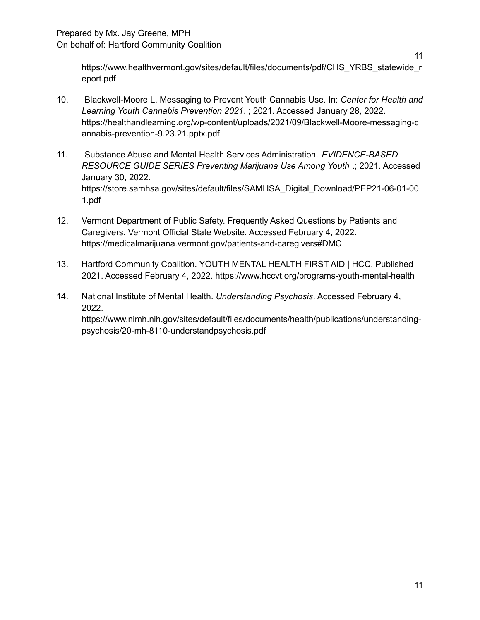https://www.healthvermont.gov/sites/default/files/documents/pdf/CHS\_YRBS\_statewide\_r eport.pdf

- 10. Blackwell-Moore L. Messaging to Prevent Youth Cannabis Use. In: *Center for Health and Learning Youth Cannabis Prevention 2021*. ; 2021. Accessed January 28, 2022. https://healthandlearning.org/wp-content/uploads/2021/09/Blackwell-Moore-messaging-c annabis-prevention-9.23.21.pptx.pdf
- 11. Substance Abuse and Mental Health Services Administration. *EVIDENCE-BASED RESOURCE GUIDE SERIES Preventing Marijuana Use Among Youth* .; 2021. Accessed January 30, 2022. https://store.samhsa.gov/sites/default/files/SAMHSA\_Digital\_Download/PEP21-06-01-00 1.pdf
- 12. Vermont Department of Public Safety. Frequently Asked Questions by Patients and Caregivers. Vermont Official State Website. Accessed February 4, 2022. https://medicalmarijuana.vermont.gov/patients-and-caregivers#DMC
- 13. Hartford Community Coalition. YOUTH MENTAL HEALTH FIRST AID | HCC. Published 2021. Accessed February 4, 2022. https://www.hccvt.org/programs-youth-mental-health
- 14. National Institute of Mental Health. *Understanding Psychosis*. Accessed February 4, 2022.

https://www.nimh.nih.gov/sites/default/files/documents/health/publications/understandingpsychosis/20-mh-8110-understandpsychosis.pdf

11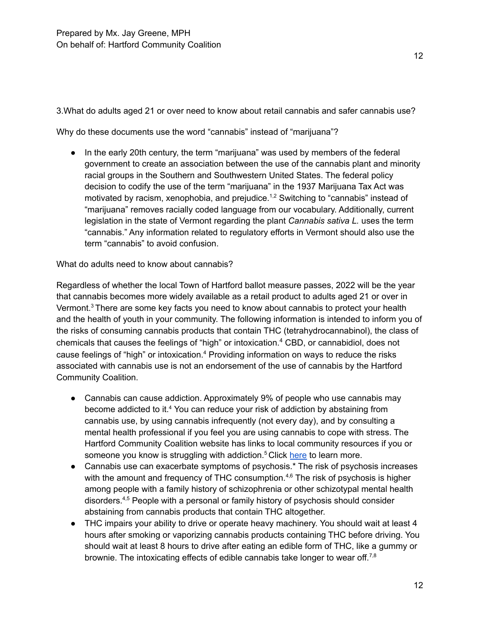3.What do adults aged 21 or over need to know about retail cannabis and safer cannabis use?

Why do these documents use the word "cannabis" instead of "marijuana"?

● In the early 20th century, the term "marijuana" was used by members of the federal government to create an association between the use of the cannabis plant and minority racial groups in the Southern and Southwestern United States. The federal policy decision to codify the use of the term "marijuana" in the 1937 Marijuana Tax Act was motivated by racism, xenophobia, and prejudice.<sup>1,2</sup> Switching to "cannabis" instead of "marijuana" removes racially coded language from our vocabulary. Additionally, current legislation in the state of Vermont regarding the plant *Cannabis sativa L.* uses the term "cannabis." Any information related to regulatory efforts in Vermont should also use the term "cannabis" to avoid confusion.

What do adults need to know about cannabis?

Regardless of whether the local Town of Hartford ballot measure passes, 2022 will be the year that cannabis becomes more widely available as a retail product to adults aged 21 or over in Vermont. <sup>3</sup> There are some key facts you need to know about cannabis to protect your health and the health of youth in your community. The following information is intended to inform you of the risks of consuming cannabis products that contain THC (tetrahydrocannabinol), the class of chemicals that causes the feelings of "high" or intoxication. <sup>4</sup> CBD, or cannabidiol, does not cause feelings of "high" or intoxication.<sup>4</sup> Providing information on ways to reduce the risks associated with cannabis use is not an endorsement of the use of cannabis by the Hartford Community Coalition.

- Cannabis can cause addiction. Approximately 9% of people who use cannabis may become addicted to it. <sup>4</sup> You can reduce your risk of addiction by abstaining from cannabis use, by using cannabis infrequently (not every day), and by consulting a mental health professional if you feel you are using cannabis to cope with stress. The Hartford Community Coalition website has links to local community resources if you or someone you know is struggling with addiction.<sup>5</sup> Click [here](https://www.hccvt.org/substance-misuse) to learn more.
- Cannabis use can exacerbate symptoms of psychosis.<sup>\*</sup> The risk of psychosis increases with the amount and frequency of THC consumption.<sup>4,6</sup> The risk of psychosis is higher among people with a family history of schizophrenia or other schizotypal mental health disorders. 4,5 People with a personal or family history of psychosis should consider abstaining from cannabis products that contain THC altogether.
- THC impairs your ability to drive or operate heavy machinery. You should wait at least 4 hours after smoking or vaporizing cannabis products containing THC before driving. You should wait at least 8 hours to drive after eating an edible form of THC, like a gummy or brownie. The intoxicating effects of edible cannabis take longer to wear off.<sup>7,8</sup>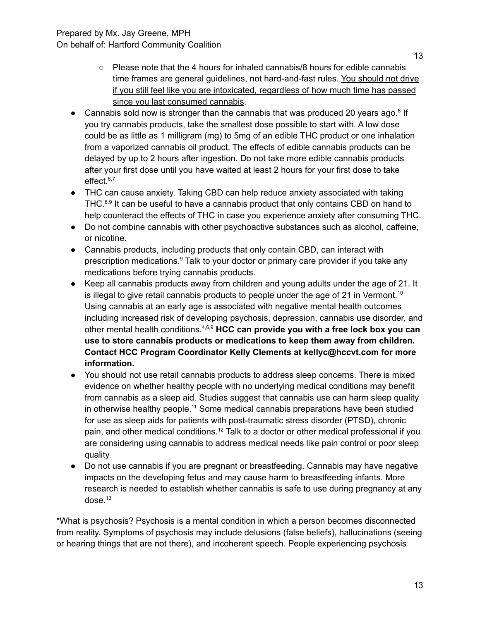- $\circ$  Please note that the 4 hours for inhaled cannabis/8 hours for edible cannabis time frames are general guidelines, not hard-and-fast rules. You should not drive if you still feel like you are intoxicated, regardless of how much time has passed since you last consumed cannabis.
- Cannabis sold now is stronger than the cannabis that was produced 20 years ago.<sup>8</sup> If you try cannabis products, take the smallest dose possible to start with. A low dose could be as little as 1 milligram (mg) to 5mg of an edible THC product or one inhalation from a vaporized cannabis oil product. The effects of edible cannabis products can be delayed by up to 2 hours after ingestion. Do not take more edible cannabis products after your first dose until you have waited at least 2 hours for your first dose to take effect. 6,7
- THC can cause anxiety. Taking CBD can help reduce anxiety associated with taking THC.<sup>8,9</sup> It can be useful to have a cannabis product that only contains CBD on hand to help counteract the effects of THC in case you experience anxiety after consuming THC.
- Do not combine cannabis with other psychoactive substances such as alcohol, caffeine, or nicotine.
- Cannabis products, including products that only contain CBD, can interact with prescription medications.<sup>9</sup> Talk to your doctor or primary care provider if you take any medications before trying cannabis products.
- Keep all cannabis products away from children and young adults under the age of 21. It is illegal to give retail cannabis products to people under the age of 21 in Vermont.<sup>10</sup> Using cannabis at an early age is associated with negative mental health outcomes including increased risk of developing psychosis, depression, cannabis use disorder, and other mental health conditions. 4,6,9 **HCC can provide you with a free lock box you can use to store cannabis products or medications to keep them away from children. Contact HCC Program Coordinator Kelly Clements at kellyc@hccvt.com for more information.**
- You should not use retail cannabis products to address sleep concerns. There is mixed evidence on whether healthy people with no underlying medical conditions may benefit from cannabis as a sleep aid. Studies suggest that cannabis use can harm sleep quality in otherwise healthy people.<sup>11</sup> Some medical cannabis preparations have been studied for use as sleep aids for patients with post-traumatic stress disorder (PTSD), chronic pain, and other medical conditions.<sup>12</sup> Talk to a doctor or other medical professional if you are considering using cannabis to address medical needs like pain control or poor sleep quality.
- Do not use cannabis if you are pregnant or breastfeeding. Cannabis may have negative impacts on the developing fetus and may cause harm to breastfeeding infants. More research is needed to establish whether cannabis is safe to use during pregnancy at any dose. 13

\*What is psychosis? Psychosis is a mental condition in which a person becomes disconnected from reality. Symptoms of psychosis may include delusions (false beliefs), hallucinations (seeing or hearing things that are not there), and incoherent speech. People experiencing psychosis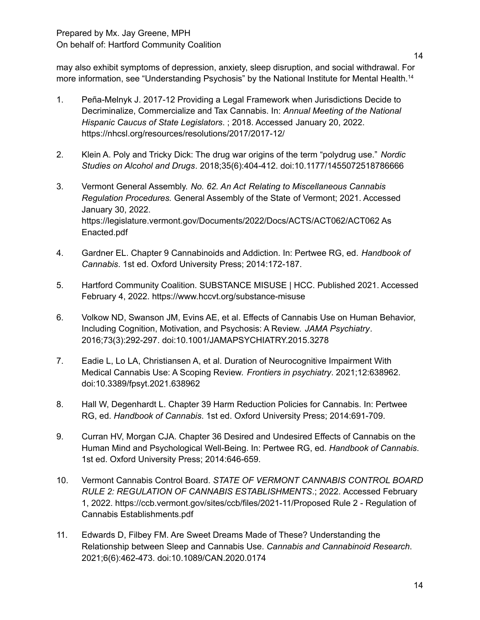may also exhibit symptoms of depression, anxiety, sleep disruption, and social withdrawal. For more information, see "Understanding Psychosis" by the National Institute for Mental Health.<sup>14</sup>

- 1. Peña-Melnyk J. 2017-12 Providing a Legal Framework when Jurisdictions Decide to Decriminalize, Commercialize and Tax Cannabis. In: *Annual Meeting of the National Hispanic Caucus of State Legislators*. ; 2018. Accessed January 20, 2022. https://nhcsl.org/resources/resolutions/2017/2017-12/
- 2. Klein A. Poly and Tricky Dick: The drug war origins of the term "polydrug use." *Nordic Studies on Alcohol and Drugs*. 2018;35(6):404-412. doi:10.1177/1455072518786666
- 3. Vermont General Assembly. *No. 62. An Act Relating to Miscellaneous Cannabis Regulation Procedures.* General Assembly of the State of Vermont; 2021. Accessed January 30, 2022. https://legislature.vermont.gov/Documents/2022/Docs/ACTS/ACT062/ACT062 As Enacted.pdf
- 4. Gardner EL. Chapter 9 Cannabinoids and Addiction. In: Pertwee RG, ed. *Handbook of Cannabis*. 1st ed. Oxford University Press; 2014:172-187.
- 5. Hartford Community Coalition. SUBSTANCE MISUSE | HCC. Published 2021. Accessed February 4, 2022. https://www.hccvt.org/substance-misuse
- 6. Volkow ND, Swanson JM, Evins AE, et al. Effects of Cannabis Use on Human Behavior, Including Cognition, Motivation, and Psychosis: A Review. *JAMA Psychiatry*. 2016;73(3):292-297. doi:10.1001/JAMAPSYCHIATRY.2015.3278
- 7. Eadie L, Lo LA, Christiansen A, et al. Duration of Neurocognitive Impairment With Medical Cannabis Use: A Scoping Review. *Frontiers in psychiatry*. 2021;12:638962. doi:10.3389/fpsyt.2021.638962
- 8. Hall W, Degenhardt L. Chapter 39 Harm Reduction Policies for Cannabis. In: Pertwee RG, ed. *Handbook of Cannabis*. 1st ed. Oxford University Press; 2014:691-709.
- 9. Curran HV, Morgan CJA. Chapter 36 Desired and Undesired Effects of Cannabis on the Human Mind and Psychological Well-Being. In: Pertwee RG, ed. *Handbook of Cannabis*. 1st ed. Oxford University Press; 2014:646-659.
- 10. Vermont Cannabis Control Board. *STATE OF VERMONT CANNABIS CONTROL BOARD RULE 2: REGULATION OF CANNABIS ESTABLISHMENTS*.; 2022. Accessed February 1, 2022. https://ccb.vermont.gov/sites/ccb/files/2021-11/Proposed Rule 2 - Regulation of Cannabis Establishments.pdf
- 11. Edwards D, Filbey FM. Are Sweet Dreams Made of These? Understanding the Relationship between Sleep and Cannabis Use. *Cannabis and Cannabinoid Research*. 2021;6(6):462-473. doi:10.1089/CAN.2020.0174